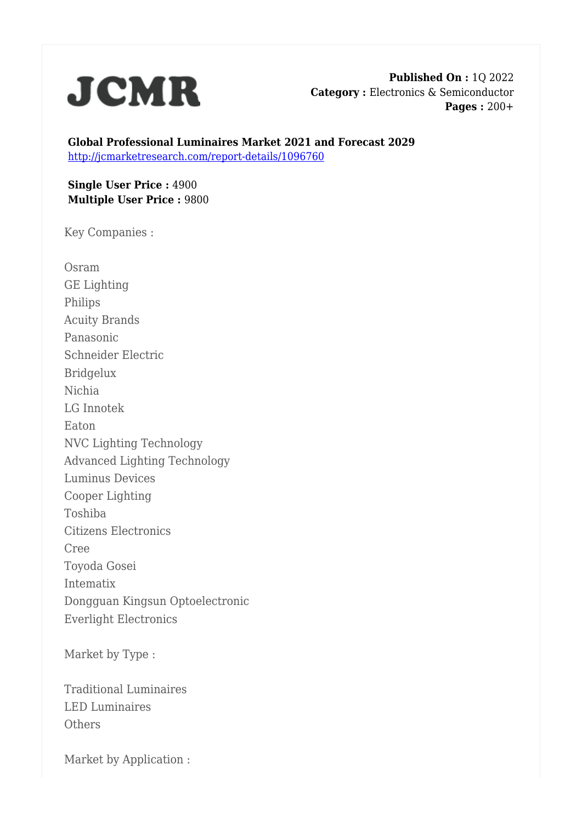

**Published On :** 1Q 2022 **Category :** Electronics & Semiconductor **Pages :** 200+

**Global Professional Luminaires Market 2021 and Forecast 2029** <http://jcmarketresearch.com/report-details/1096760>

**Single User Price :** 4900 **Multiple User Price :** 9800

Key Companies :

Osram GE Lighting Philips Acuity Brands Panasonic Schneider Electric Bridgelux Nichia LG Innotek Eaton NVC Lighting Technology Advanced Lighting Technology Luminus Devices Cooper Lighting Toshiba Citizens Electronics Cree Toyoda Gosei Intematix Dongguan Kingsun Optoelectronic Everlight Electronics

Market by Type :

Traditional Luminaires LED Luminaires **Others** 

Market by Application :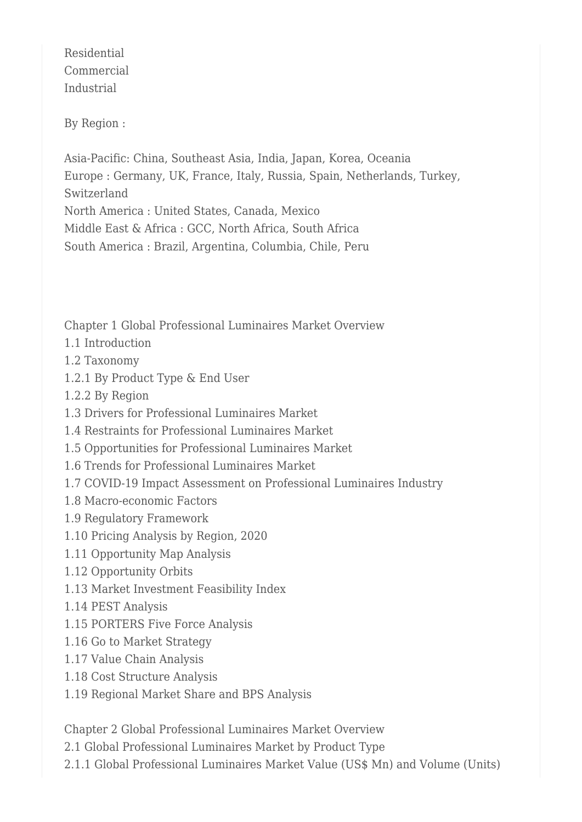Residential Commercial Industrial

By Region :

Asia-Pacific: China, Southeast Asia, India, Japan, Korea, Oceania Europe : Germany, UK, France, Italy, Russia, Spain, Netherlands, Turkey, Switzerland North America : United States, Canada, Mexico Middle East & Africa : GCC, North Africa, South Africa South America : Brazil, Argentina, Columbia, Chile, Peru

Chapter 1 Global Professional Luminaires Market Overview

- 1.1 Introduction
- 1.2 Taxonomy
- 1.2.1 By Product Type & End User
- 1.2.2 By Region
- 1.3 Drivers for Professional Luminaires Market
- 1.4 Restraints for Professional Luminaires Market
- 1.5 Opportunities for Professional Luminaires Market
- 1.6 Trends for Professional Luminaires Market
- 1.7 COVID-19 Impact Assessment on Professional Luminaires Industry
- 1.8 Macro-economic Factors
- 1.9 Regulatory Framework
- 1.10 Pricing Analysis by Region, 2020
- 1.11 Opportunity Map Analysis
- 1.12 Opportunity Orbits
- 1.13 Market Investment Feasibility Index
- 1.14 PEST Analysis
- 1.15 PORTERS Five Force Analysis
- 1.16 Go to Market Strategy
- 1.17 Value Chain Analysis
- 1.18 Cost Structure Analysis
- 1.19 Regional Market Share and BPS Analysis

Chapter 2 Global Professional Luminaires Market Overview

- 2.1 Global Professional Luminaires Market by Product Type
- 2.1.1 Global Professional Luminaires Market Value (US\$ Mn) and Volume (Units)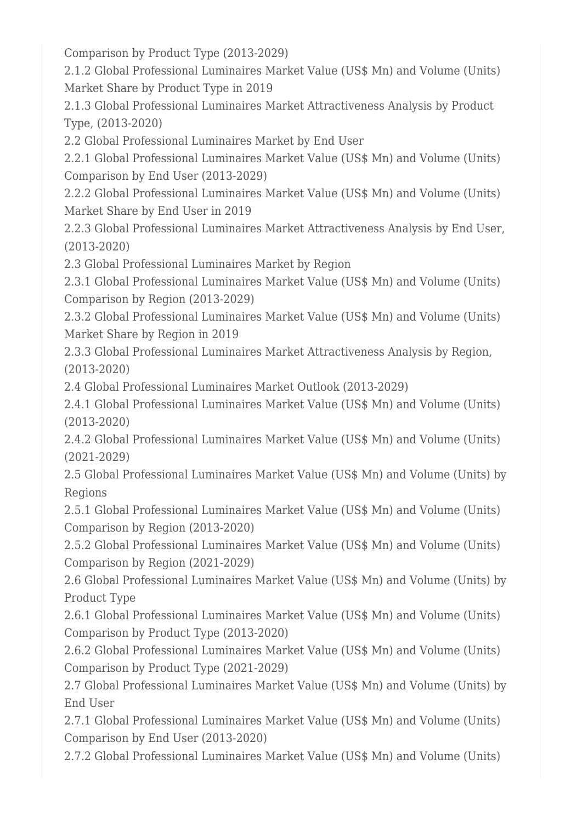Comparison by Product Type (2013-2029)

2.1.2 Global Professional Luminaires Market Value (US\$ Mn) and Volume (Units) Market Share by Product Type in 2019

2.1.3 Global Professional Luminaires Market Attractiveness Analysis by Product Type, (2013-2020)

2.2 Global Professional Luminaires Market by End User

2.2.1 Global Professional Luminaires Market Value (US\$ Mn) and Volume (Units) Comparison by End User (2013-2029)

2.2.2 Global Professional Luminaires Market Value (US\$ Mn) and Volume (Units) Market Share by End User in 2019

2.2.3 Global Professional Luminaires Market Attractiveness Analysis by End User, (2013-2020)

2.3 Global Professional Luminaires Market by Region

2.3.1 Global Professional Luminaires Market Value (US\$ Mn) and Volume (Units) Comparison by Region (2013-2029)

2.3.2 Global Professional Luminaires Market Value (US\$ Mn) and Volume (Units) Market Share by Region in 2019

2.3.3 Global Professional Luminaires Market Attractiveness Analysis by Region, (2013-2020)

2.4 Global Professional Luminaires Market Outlook (2013-2029)

2.4.1 Global Professional Luminaires Market Value (US\$ Mn) and Volume (Units) (2013-2020)

2.4.2 Global Professional Luminaires Market Value (US\$ Mn) and Volume (Units) (2021-2029)

2.5 Global Professional Luminaires Market Value (US\$ Mn) and Volume (Units) by **Regions** 

2.5.1 Global Professional Luminaires Market Value (US\$ Mn) and Volume (Units) Comparison by Region (2013-2020)

2.5.2 Global Professional Luminaires Market Value (US\$ Mn) and Volume (Units) Comparison by Region (2021-2029)

2.6 Global Professional Luminaires Market Value (US\$ Mn) and Volume (Units) by Product Type

2.6.1 Global Professional Luminaires Market Value (US\$ Mn) and Volume (Units) Comparison by Product Type (2013-2020)

2.6.2 Global Professional Luminaires Market Value (US\$ Mn) and Volume (Units) Comparison by Product Type (2021-2029)

2.7 Global Professional Luminaires Market Value (US\$ Mn) and Volume (Units) by End User

2.7.1 Global Professional Luminaires Market Value (US\$ Mn) and Volume (Units) Comparison by End User (2013-2020)

2.7.2 Global Professional Luminaires Market Value (US\$ Mn) and Volume (Units)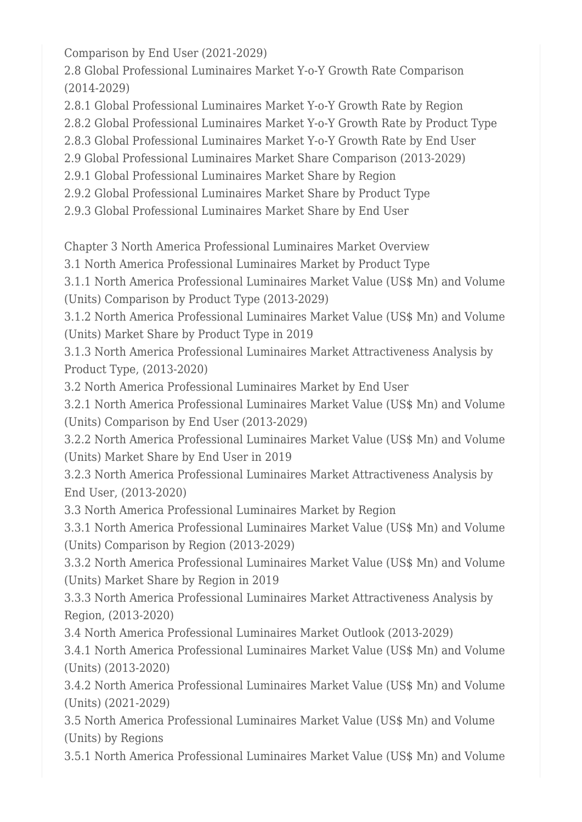Comparison by End User (2021-2029)

2.8 Global Professional Luminaires Market Y-o-Y Growth Rate Comparison (2014-2029)

2.8.1 Global Professional Luminaires Market Y-o-Y Growth Rate by Region

2.8.2 Global Professional Luminaires Market Y-o-Y Growth Rate by Product Type

2.8.3 Global Professional Luminaires Market Y-o-Y Growth Rate by End User

2.9 Global Professional Luminaires Market Share Comparison (2013-2029)

2.9.1 Global Professional Luminaires Market Share by Region

2.9.2 Global Professional Luminaires Market Share by Product Type

2.9.3 Global Professional Luminaires Market Share by End User

Chapter 3 North America Professional Luminaires Market Overview

3.1 North America Professional Luminaires Market by Product Type

3.1.1 North America Professional Luminaires Market Value (US\$ Mn) and Volume (Units) Comparison by Product Type (2013-2029)

3.1.2 North America Professional Luminaires Market Value (US\$ Mn) and Volume (Units) Market Share by Product Type in 2019

3.1.3 North America Professional Luminaires Market Attractiveness Analysis by Product Type, (2013-2020)

3.2 North America Professional Luminaires Market by End User

3.2.1 North America Professional Luminaires Market Value (US\$ Mn) and Volume (Units) Comparison by End User (2013-2029)

3.2.2 North America Professional Luminaires Market Value (US\$ Mn) and Volume (Units) Market Share by End User in 2019

3.2.3 North America Professional Luminaires Market Attractiveness Analysis by End User, (2013-2020)

3.3 North America Professional Luminaires Market by Region

3.3.1 North America Professional Luminaires Market Value (US\$ Mn) and Volume (Units) Comparison by Region (2013-2029)

3.3.2 North America Professional Luminaires Market Value (US\$ Mn) and Volume (Units) Market Share by Region in 2019

3.3.3 North America Professional Luminaires Market Attractiveness Analysis by Region, (2013-2020)

3.4 North America Professional Luminaires Market Outlook (2013-2029)

3.4.1 North America Professional Luminaires Market Value (US\$ Mn) and Volume (Units) (2013-2020)

3.4.2 North America Professional Luminaires Market Value (US\$ Mn) and Volume (Units) (2021-2029)

3.5 North America Professional Luminaires Market Value (US\$ Mn) and Volume (Units) by Regions

3.5.1 North America Professional Luminaires Market Value (US\$ Mn) and Volume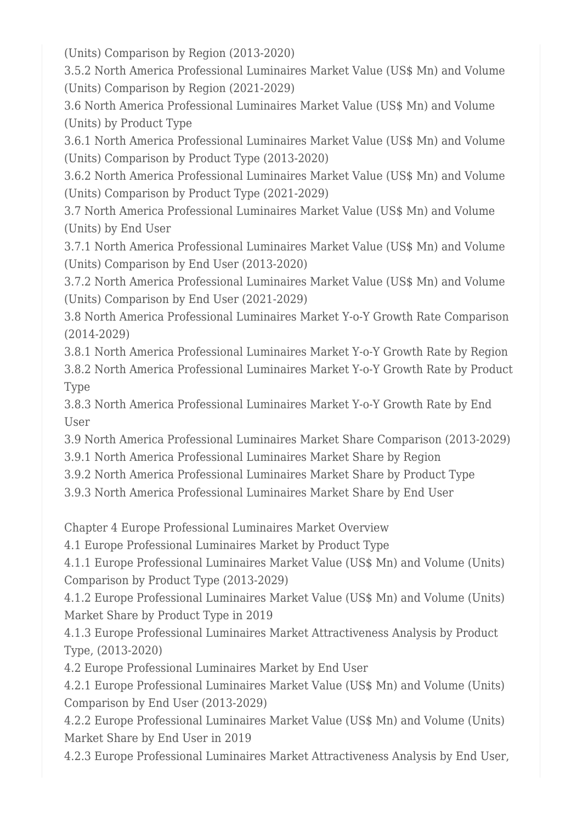(Units) Comparison by Region (2013-2020)

3.5.2 North America Professional Luminaires Market Value (US\$ Mn) and Volume (Units) Comparison by Region (2021-2029)

3.6 North America Professional Luminaires Market Value (US\$ Mn) and Volume (Units) by Product Type

3.6.1 North America Professional Luminaires Market Value (US\$ Mn) and Volume (Units) Comparison by Product Type (2013-2020)

3.6.2 North America Professional Luminaires Market Value (US\$ Mn) and Volume (Units) Comparison by Product Type (2021-2029)

3.7 North America Professional Luminaires Market Value (US\$ Mn) and Volume (Units) by End User

3.7.1 North America Professional Luminaires Market Value (US\$ Mn) and Volume (Units) Comparison by End User (2013-2020)

3.7.2 North America Professional Luminaires Market Value (US\$ Mn) and Volume (Units) Comparison by End User (2021-2029)

3.8 North America Professional Luminaires Market Y-o-Y Growth Rate Comparison (2014-2029)

3.8.1 North America Professional Luminaires Market Y-o-Y Growth Rate by Region

3.8.2 North America Professional Luminaires Market Y-o-Y Growth Rate by Product Type

3.8.3 North America Professional Luminaires Market Y-o-Y Growth Rate by End User

3.9 North America Professional Luminaires Market Share Comparison (2013-2029)

3.9.1 North America Professional Luminaires Market Share by Region

3.9.2 North America Professional Luminaires Market Share by Product Type

3.9.3 North America Professional Luminaires Market Share by End User

Chapter 4 Europe Professional Luminaires Market Overview

4.1 Europe Professional Luminaires Market by Product Type

4.1.1 Europe Professional Luminaires Market Value (US\$ Mn) and Volume (Units) Comparison by Product Type (2013-2029)

4.1.2 Europe Professional Luminaires Market Value (US\$ Mn) and Volume (Units) Market Share by Product Type in 2019

4.1.3 Europe Professional Luminaires Market Attractiveness Analysis by Product Type, (2013-2020)

4.2 Europe Professional Luminaires Market by End User

4.2.1 Europe Professional Luminaires Market Value (US\$ Mn) and Volume (Units) Comparison by End User (2013-2029)

4.2.2 Europe Professional Luminaires Market Value (US\$ Mn) and Volume (Units) Market Share by End User in 2019

4.2.3 Europe Professional Luminaires Market Attractiveness Analysis by End User,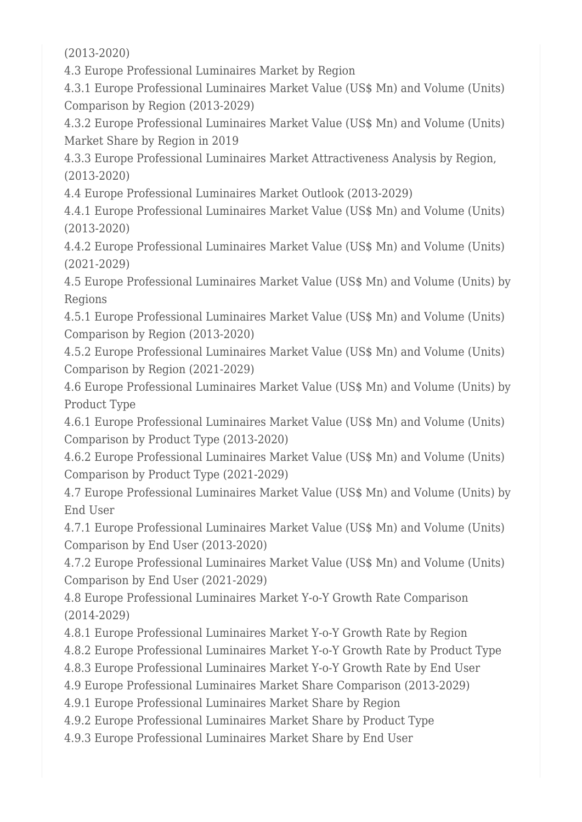(2013-2020)

4.3 Europe Professional Luminaires Market by Region

4.3.1 Europe Professional Luminaires Market Value (US\$ Mn) and Volume (Units) Comparison by Region (2013-2029)

4.3.2 Europe Professional Luminaires Market Value (US\$ Mn) and Volume (Units) Market Share by Region in 2019

4.3.3 Europe Professional Luminaires Market Attractiveness Analysis by Region, (2013-2020)

4.4 Europe Professional Luminaires Market Outlook (2013-2029)

4.4.1 Europe Professional Luminaires Market Value (US\$ Mn) and Volume (Units) (2013-2020)

4.4.2 Europe Professional Luminaires Market Value (US\$ Mn) and Volume (Units) (2021-2029)

4.5 Europe Professional Luminaires Market Value (US\$ Mn) and Volume (Units) by Regions

4.5.1 Europe Professional Luminaires Market Value (US\$ Mn) and Volume (Units) Comparison by Region (2013-2020)

4.5.2 Europe Professional Luminaires Market Value (US\$ Mn) and Volume (Units) Comparison by Region (2021-2029)

4.6 Europe Professional Luminaires Market Value (US\$ Mn) and Volume (Units) by Product Type

4.6.1 Europe Professional Luminaires Market Value (US\$ Mn) and Volume (Units) Comparison by Product Type (2013-2020)

4.6.2 Europe Professional Luminaires Market Value (US\$ Mn) and Volume (Units) Comparison by Product Type (2021-2029)

4.7 Europe Professional Luminaires Market Value (US\$ Mn) and Volume (Units) by End User

4.7.1 Europe Professional Luminaires Market Value (US\$ Mn) and Volume (Units) Comparison by End User (2013-2020)

4.7.2 Europe Professional Luminaires Market Value (US\$ Mn) and Volume (Units) Comparison by End User (2021-2029)

4.8 Europe Professional Luminaires Market Y-o-Y Growth Rate Comparison (2014-2029)

4.8.1 Europe Professional Luminaires Market Y-o-Y Growth Rate by Region

4.8.2 Europe Professional Luminaires Market Y-o-Y Growth Rate by Product Type

4.8.3 Europe Professional Luminaires Market Y-o-Y Growth Rate by End User

4.9 Europe Professional Luminaires Market Share Comparison (2013-2029)

4.9.1 Europe Professional Luminaires Market Share by Region

4.9.2 Europe Professional Luminaires Market Share by Product Type

4.9.3 Europe Professional Luminaires Market Share by End User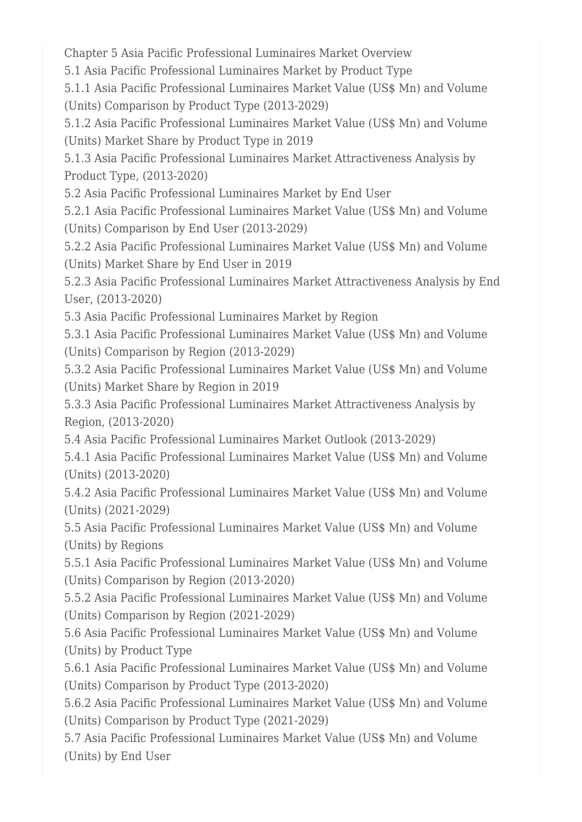Chapter 5 Asia Pacific Professional Luminaires Market Overview

5.1 Asia Pacific Professional Luminaires Market by Product Type

5.1.1 Asia Pacific Professional Luminaires Market Value (US\$ Mn) and Volume (Units) Comparison by Product Type (2013-2029)

5.1.2 Asia Pacific Professional Luminaires Market Value (US\$ Mn) and Volume (Units) Market Share by Product Type in 2019

5.1.3 Asia Pacific Professional Luminaires Market Attractiveness Analysis by Product Type, (2013-2020)

5.2 Asia Pacific Professional Luminaires Market by End User

5.2.1 Asia Pacific Professional Luminaires Market Value (US\$ Mn) and Volume (Units) Comparison by End User (2013-2029)

5.2.2 Asia Pacific Professional Luminaires Market Value (US\$ Mn) and Volume (Units) Market Share by End User in 2019

5.2.3 Asia Pacific Professional Luminaires Market Attractiveness Analysis by End User, (2013-2020)

5.3 Asia Pacific Professional Luminaires Market by Region

5.3.1 Asia Pacific Professional Luminaires Market Value (US\$ Mn) and Volume (Units) Comparison by Region (2013-2029)

5.3.2 Asia Pacific Professional Luminaires Market Value (US\$ Mn) and Volume (Units) Market Share by Region in 2019

5.3.3 Asia Pacific Professional Luminaires Market Attractiveness Analysis by Region, (2013-2020)

5.4 Asia Pacific Professional Luminaires Market Outlook (2013-2029)

5.4.1 Asia Pacific Professional Luminaires Market Value (US\$ Mn) and Volume (Units) (2013-2020)

5.4.2 Asia Pacific Professional Luminaires Market Value (US\$ Mn) and Volume (Units) (2021-2029)

5.5 Asia Pacific Professional Luminaires Market Value (US\$ Mn) and Volume (Units) by Regions

5.5.1 Asia Pacific Professional Luminaires Market Value (US\$ Mn) and Volume (Units) Comparison by Region (2013-2020)

5.5.2 Asia Pacific Professional Luminaires Market Value (US\$ Mn) and Volume (Units) Comparison by Region (2021-2029)

5.6 Asia Pacific Professional Luminaires Market Value (US\$ Mn) and Volume (Units) by Product Type

5.6.1 Asia Pacific Professional Luminaires Market Value (US\$ Mn) and Volume (Units) Comparison by Product Type (2013-2020)

5.6.2 Asia Pacific Professional Luminaires Market Value (US\$ Mn) and Volume (Units) Comparison by Product Type (2021-2029)

5.7 Asia Pacific Professional Luminaires Market Value (US\$ Mn) and Volume (Units) by End User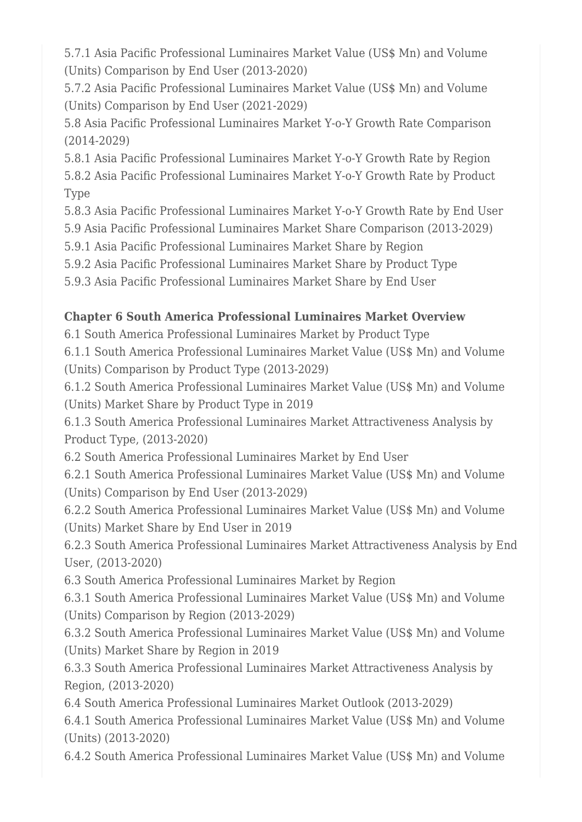5.7.1 Asia Pacific Professional Luminaires Market Value (US\$ Mn) and Volume (Units) Comparison by End User (2013-2020)

5.7.2 Asia Pacific Professional Luminaires Market Value (US\$ Mn) and Volume (Units) Comparison by End User (2021-2029)

5.8 Asia Pacific Professional Luminaires Market Y-o-Y Growth Rate Comparison (2014-2029)

5.8.1 Asia Pacific Professional Luminaires Market Y-o-Y Growth Rate by Region 5.8.2 Asia Pacific Professional Luminaires Market Y-o-Y Growth Rate by Product Type

5.8.3 Asia Pacific Professional Luminaires Market Y-o-Y Growth Rate by End User

5.9 Asia Pacific Professional Luminaires Market Share Comparison (2013-2029)

5.9.1 Asia Pacific Professional Luminaires Market Share by Region

5.9.2 Asia Pacific Professional Luminaires Market Share by Product Type

5.9.3 Asia Pacific Professional Luminaires Market Share by End User

## **Chapter 6 South America Professional Luminaires Market Overview**

6.1 South America Professional Luminaires Market by Product Type

6.1.1 South America Professional Luminaires Market Value (US\$ Mn) and Volume (Units) Comparison by Product Type (2013-2029)

6.1.2 South America Professional Luminaires Market Value (US\$ Mn) and Volume (Units) Market Share by Product Type in 2019

6.1.3 South America Professional Luminaires Market Attractiveness Analysis by Product Type, (2013-2020)

6.2 South America Professional Luminaires Market by End User

6.2.1 South America Professional Luminaires Market Value (US\$ Mn) and Volume (Units) Comparison by End User (2013-2029)

6.2.2 South America Professional Luminaires Market Value (US\$ Mn) and Volume (Units) Market Share by End User in 2019

6.2.3 South America Professional Luminaires Market Attractiveness Analysis by End User, (2013-2020)

6.3 South America Professional Luminaires Market by Region

6.3.1 South America Professional Luminaires Market Value (US\$ Mn) and Volume (Units) Comparison by Region (2013-2029)

6.3.2 South America Professional Luminaires Market Value (US\$ Mn) and Volume (Units) Market Share by Region in 2019

6.3.3 South America Professional Luminaires Market Attractiveness Analysis by Region, (2013-2020)

6.4 South America Professional Luminaires Market Outlook (2013-2029)

6.4.1 South America Professional Luminaires Market Value (US\$ Mn) and Volume (Units) (2013-2020)

6.4.2 South America Professional Luminaires Market Value (US\$ Mn) and Volume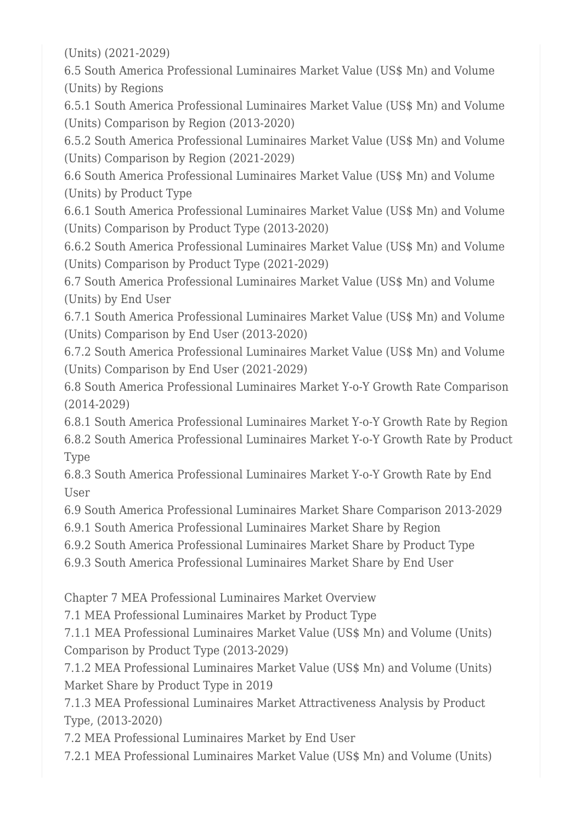(Units) (2021-2029)

6.5 South America Professional Luminaires Market Value (US\$ Mn) and Volume (Units) by Regions

6.5.1 South America Professional Luminaires Market Value (US\$ Mn) and Volume (Units) Comparison by Region (2013-2020)

6.5.2 South America Professional Luminaires Market Value (US\$ Mn) and Volume (Units) Comparison by Region (2021-2029)

6.6 South America Professional Luminaires Market Value (US\$ Mn) and Volume (Units) by Product Type

6.6.1 South America Professional Luminaires Market Value (US\$ Mn) and Volume (Units) Comparison by Product Type (2013-2020)

6.6.2 South America Professional Luminaires Market Value (US\$ Mn) and Volume (Units) Comparison by Product Type (2021-2029)

6.7 South America Professional Luminaires Market Value (US\$ Mn) and Volume (Units) by End User

6.7.1 South America Professional Luminaires Market Value (US\$ Mn) and Volume (Units) Comparison by End User (2013-2020)

6.7.2 South America Professional Luminaires Market Value (US\$ Mn) and Volume (Units) Comparison by End User (2021-2029)

6.8 South America Professional Luminaires Market Y-o-Y Growth Rate Comparison (2014-2029)

6.8.1 South America Professional Luminaires Market Y-o-Y Growth Rate by Region 6.8.2 South America Professional Luminaires Market Y-o-Y Growth Rate by Product Type

6.8.3 South America Professional Luminaires Market Y-o-Y Growth Rate by End User

6.9 South America Professional Luminaires Market Share Comparison 2013-2029

6.9.1 South America Professional Luminaires Market Share by Region

6.9.2 South America Professional Luminaires Market Share by Product Type

6.9.3 South America Professional Luminaires Market Share by End User

Chapter 7 MEA Professional Luminaires Market Overview

7.1 MEA Professional Luminaires Market by Product Type

7.1.1 MEA Professional Luminaires Market Value (US\$ Mn) and Volume (Units) Comparison by Product Type (2013-2029)

7.1.2 MEA Professional Luminaires Market Value (US\$ Mn) and Volume (Units) Market Share by Product Type in 2019

7.1.3 MEA Professional Luminaires Market Attractiveness Analysis by Product Type, (2013-2020)

7.2 MEA Professional Luminaires Market by End User

7.2.1 MEA Professional Luminaires Market Value (US\$ Mn) and Volume (Units)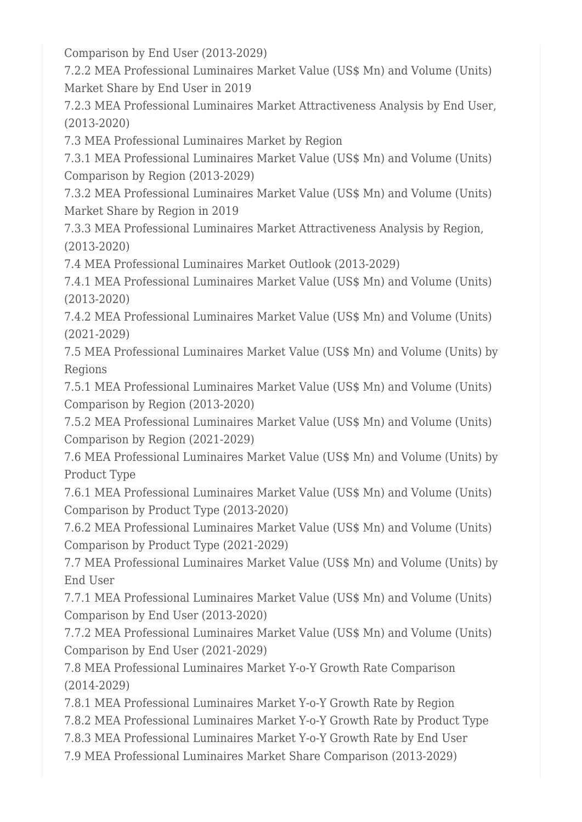Comparison by End User (2013-2029)

7.2.2 MEA Professional Luminaires Market Value (US\$ Mn) and Volume (Units) Market Share by End User in 2019

7.2.3 MEA Professional Luminaires Market Attractiveness Analysis by End User, (2013-2020)

7.3 MEA Professional Luminaires Market by Region

7.3.1 MEA Professional Luminaires Market Value (US\$ Mn) and Volume (Units) Comparison by Region (2013-2029)

7.3.2 MEA Professional Luminaires Market Value (US\$ Mn) and Volume (Units) Market Share by Region in 2019

7.3.3 MEA Professional Luminaires Market Attractiveness Analysis by Region, (2013-2020)

7.4 MEA Professional Luminaires Market Outlook (2013-2029)

7.4.1 MEA Professional Luminaires Market Value (US\$ Mn) and Volume (Units) (2013-2020)

7.4.2 MEA Professional Luminaires Market Value (US\$ Mn) and Volume (Units) (2021-2029)

7.5 MEA Professional Luminaires Market Value (US\$ Mn) and Volume (Units) by Regions

7.5.1 MEA Professional Luminaires Market Value (US\$ Mn) and Volume (Units) Comparison by Region (2013-2020)

7.5.2 MEA Professional Luminaires Market Value (US\$ Mn) and Volume (Units) Comparison by Region (2021-2029)

7.6 MEA Professional Luminaires Market Value (US\$ Mn) and Volume (Units) by Product Type

7.6.1 MEA Professional Luminaires Market Value (US\$ Mn) and Volume (Units) Comparison by Product Type (2013-2020)

7.6.2 MEA Professional Luminaires Market Value (US\$ Mn) and Volume (Units) Comparison by Product Type (2021-2029)

7.7 MEA Professional Luminaires Market Value (US\$ Mn) and Volume (Units) by End User

7.7.1 MEA Professional Luminaires Market Value (US\$ Mn) and Volume (Units) Comparison by End User (2013-2020)

7.7.2 MEA Professional Luminaires Market Value (US\$ Mn) and Volume (Units) Comparison by End User (2021-2029)

7.8 MEA Professional Luminaires Market Y-o-Y Growth Rate Comparison (2014-2029)

7.8.1 MEA Professional Luminaires Market Y-o-Y Growth Rate by Region

7.8.2 MEA Professional Luminaires Market Y-o-Y Growth Rate by Product Type

7.8.3 MEA Professional Luminaires Market Y-o-Y Growth Rate by End User

7.9 MEA Professional Luminaires Market Share Comparison (2013-2029)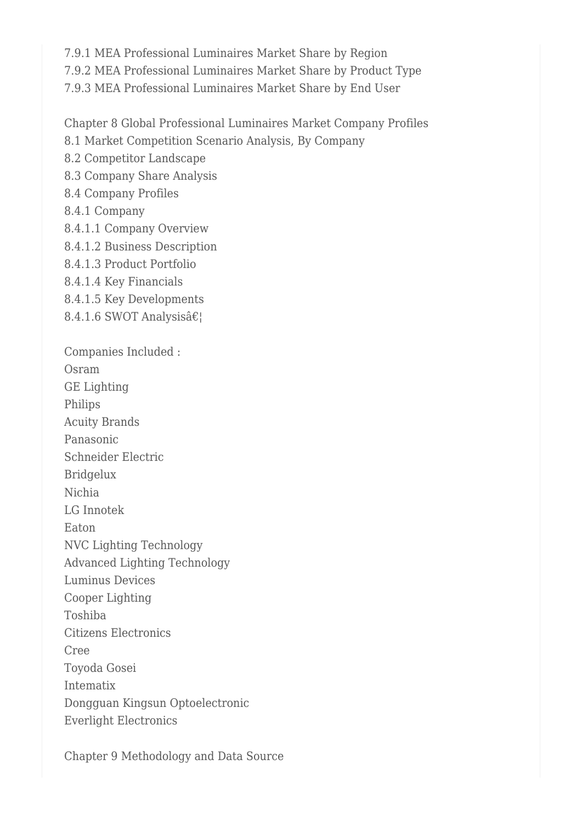7.9.1 MEA Professional Luminaires Market Share by Region 7.9.2 MEA Professional Luminaires Market Share by Product Type 7.9.3 MEA Professional Luminaires Market Share by End User

Chapter 8 Global Professional Luminaires Market Company Profiles

8.1 Market Competition Scenario Analysis, By Company

8.2 Competitor Landscape

8.3 Company Share Analysis

8.4 Company Profiles

8.4.1 Company

8.4.1.1 Company Overview

8.4.1.2 Business Description

8.4.1.3 Product Portfolio

8.4.1.4 Key Financials

8.4.1.5 Key Developments

8.4.1.6 SWOT Analysis $\hat{\mathbf{a}} \in \mathbb{R}$ 

Companies Included : Osram GE Lighting Philips Acuity Brands Panasonic Schneider Electric Bridgelux Nichia LG Innotek Eaton NVC Lighting Technology Advanced Lighting Technology Luminus Devices Cooper Lighting Toshiba Citizens Electronics Cree Toyoda Gosei Intematix Dongguan Kingsun Optoelectronic

Everlight Electronics

Chapter 9 Methodology and Data Source